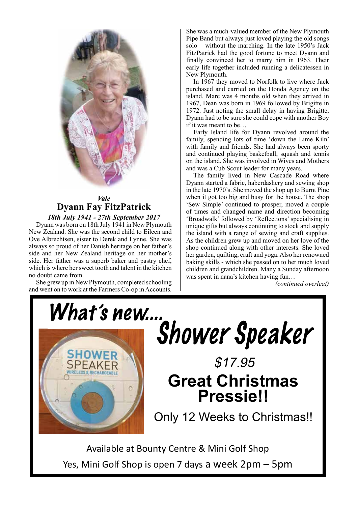

# *Vale Vale* **Dyann Fay FitzPatrick Dyann Fay FitzPatrick** Dyann Fay FitzPatrick *18th July 1941 - 27th September 2017 18th July 1941 - 27th September 2017*

Dyann was born on 18th July 1941 in New Plymouth Dyann was born on 18th July 1941 in New Plymouth New Zealand. She was the second child to Eileen and New Zealand. She was the second child to Eileen and Ove Albrechtsen, sister to Derek and Lynne. She was Ove Albrechtsen, sister to Derek and Lynne. She was always so proud of her Danish heritage on her father's always so proud of her Danish heritage on her father's side and her New Zealand heritage on her mother's side and her New Zealand heritage on her mother's side. Her father was a superb baker and pastry chef, which is where her sweet tooth and talent in the kitchen no doubt came from. ways so proud of her Danish heritage on her father's<br>de and her New Zealand heritage on her mother's oubt came from.<br>She grew up in New York completed school in New York complete school in New York complete school in New York c

She grew up in New Plymouth, completed schooling and went on to work at the Farmers Co-op in Accounts. She grew up in New Plymouth, completed schooling. She was a much-valued member of the New Plymouth She was a much-valued member of the New Plymouth Pipe Band but always just loved playing the old songs Pipe Band but always just loved playing the old songs solo – without the marching. In the late 1950's Jack solo – without the marching. the late 1950's Jack FitzPatrick had the good fortune to meet Dyann and FitzPatrick had the good fortune to meet Dyann and finally convinced her to marry him in 1963. Their finally convinced her to marry him in 1963. Their early life together included running a delicatessen in New Plymouth. New Plymouth.

In 1967 they moved to Norfolk to live where Jack In 1967 they moved to Norfolk to live where Jack purchased and carried on the Honda Agency on the purchased and carried on the Honda Agency on the island. Marc was 4 months old when they arrived in island. Marc was 4 months old when they arrived in 1967, Dean was born in 1969 followed by Brigitte in 1967, Dean was born in 1969 followed by Brigitte in 1972. Just noting the small delay in having Brigitte, 1972. Just noting the small delay in having Brigitte, Dyann had to be sure she could cope with another Boy Dyann had to be sure she could cope with another Boy if it was meant to be… if it was meant to be…

Early Island life for Dyann revolved around the Early Island life for Dyann revolved around the family, spending lots of time 'down the Lime Kiln' family, spending lots of time 'down the Lime Kiln' with family and friends. She had always been sporty with family and friends. She had always been sporty and continued playing basketball, squash and tennis and continued playing basketball, squash and tennis on the island. She was involved in Wives and Mothers on the island. She was involved in Wives and Mothers and was a Cub Scout leader for many years. and was a Cub Scout leader for many years.

The family lived in New Cascade Road where The family lived in New Cascade Road where Dyann started a fabric, haberdashery and sewing shop Dyann started a fabric, haberdashery and sewing shop in the late 1970's. She moved the shop up to Burnt Pine in the late 1970's. She moved the shop up to Burnt Pine when it got too big and busy for the house. The shop when it got too big and busy for the house. The shop 'Sew Simple' continued to prosper, moved a couple 'Sew Simple' continued to prosper, moved a couple of times and changed name and direction becoming of times and changed name and direction becoming 'Broadwalk' followed by 'Reflections' specialising in 'Broadwalk' followed by 'Reflections' specialising in unique gifts but always continuing to stock and supply unique gifts but always continuing to stock and supply the island with a range of sewing and craft supplies. the island with a range of sewing and craft supplies. As the children grew up and moved on her love of the As the children grew up and moved on her love of the As the children grew up and moved on her love of the shop continued along with other interests. She loved  $\frac{1}{1}$  is the garden with other interests. She loved her garden, quilting, craft and yoga. Also her renowned baking skills - which she passed on to her much loved children and grandchildren. Many a Sunday afternoon  $g \text{run...}$ was spent in nana's kitchen having fun…

*(continued overleaf)*



 $\frac{1}{2}$  wands to bouncy dentity  $\frac{1}{2}$  which does 3 days a week 2pm – 5pm – 5pm – 5pm – 5pm – 5pm – 5pm – 5pm – 5pm – 5pm – 5pm – 5pm – 5pm – 5pm – 5pm – 5pm – 5pm – 5pm – 5pm – 5pm – 5pm – 5pm – 5pm – 5pm – 5pm – 5p Yes, Mini Golf Shop is open 7 days a week 2pm – 5pm